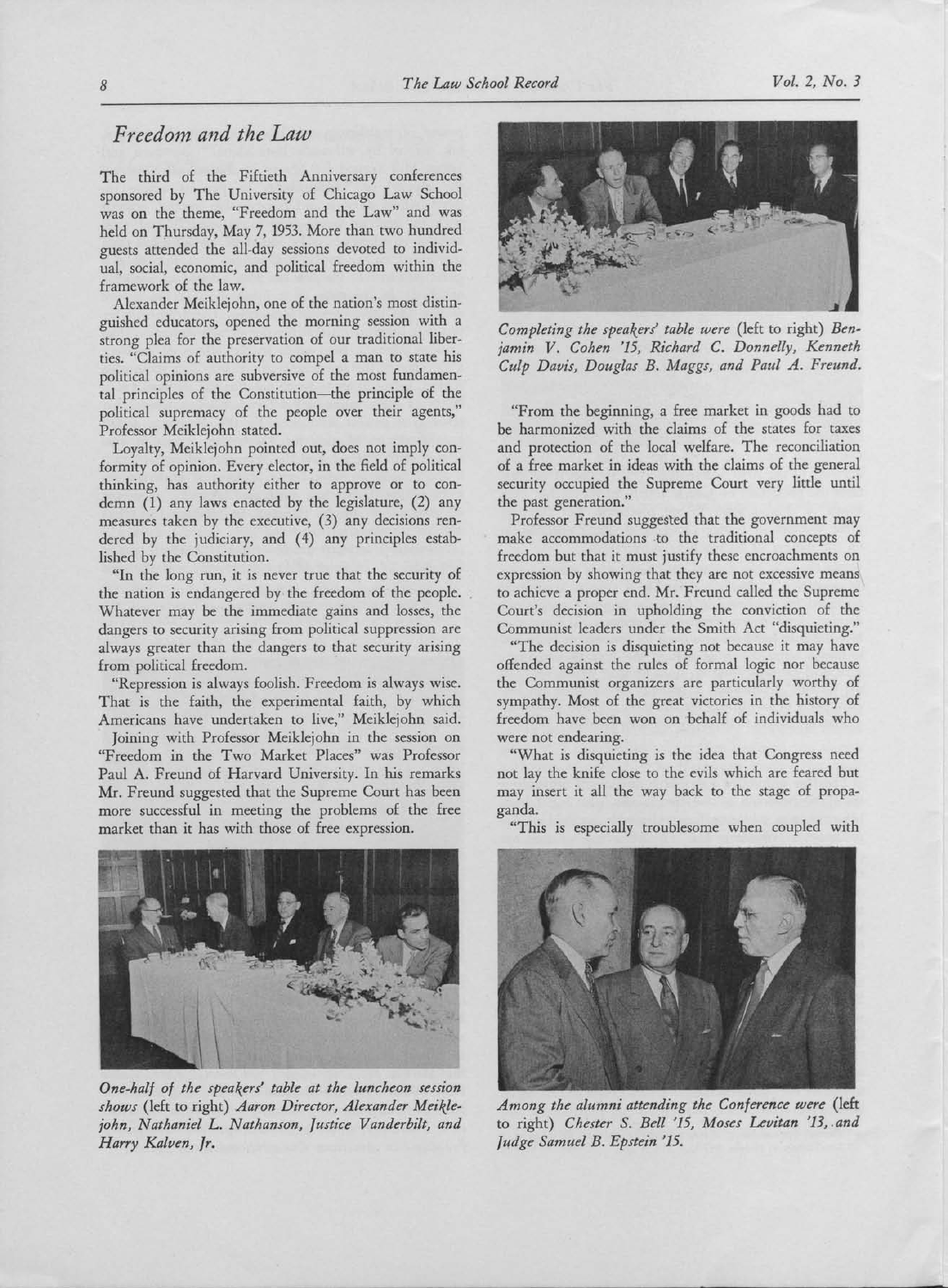## Freedom and the Law

The third of the Fiftieth Anniversary conferences sponsored by The University of Chicago Law School was on the theme, "Freedom and the Law" and was held on Thursday, May 7, 1953. More than two hundred guests attended the all-day sessions devoted to individual, social, economic, and political freedom within the framework of the law.

Alexander Meiklejohn, one of the nation's most distinguished educators, opened the morning session with <sup>a</sup> strong plea for the preservation of our traditional liberties. "Claims of authority to compel <sup>a</sup> man to state his political opinions are subversive of the most fundamental principles of the Constitution-the principle of the political supremacy of the people over their agents," Professor Meiklejohn stated.

Loyalty, Meiklejohn pointed out, does not imply conformity of opinion. Every elector, in the field of political thinking, has authority either to approve or to condemn (1) any laws enacted by the legislature, (2) any measures taken by the executive, (3) any decisions rendered by the judiciary, and (4) any principles established by the Constitution.

"In the long run, it is never true that the security of the nation is endangered by the freedom of the people. Whatever may be the immediate gains and losses, the dangers to security arising from political suppression are always greater than the dangers to that security arising from political freedom.

"Repression is always foolish. Freedom is always wise. That is the faith, the experimental faith, by which Americans have undertaken to live," Meiklejohn said.

Joining with Professor Meiklejohn in the session on "Freedom in the Two Market Places" was Professor Paul A. Freund of Harvard University. In his remarks Mr. Freund suggested that the Supreme Court has been more successful in meeting the problems of the free market than it has with those of free expression.



One-half of the speakers' table at the luncheon session shows (left to right) Aaron Director, Alexander Meiklejohn, Nathaniel L. Nathanson, Justice Vanderbilt, and Harry Kalven, Jr.



Completing the speakers' table were (left to right) Benjamin V. Cohen '15, Richard C. Donnelly, Kenneth Culp Davis, Douglas B. Maggs, and Paul A. Freund.

"From the beginning, <sup>a</sup> free market in goods had to be harmonized with the claims of the states for taxes and protection of the local welfare. The reconciliation of <sup>a</sup> free market in ideas with the claims of the general security occupied the Supreme Court very little until the past generation."

Professor Freund suggested that the government may make accommodations to the traditional concepts of freedom but that it must justify these encroachments on expression by showing that they are not excessive means to achieve a proper end. Mr. Freund called the Supreme Court's decision in upholding the conviction of the Communist leaders under the Smith Act "disquieting."

"The decision is disquieting not because it may have offended against the rules of formal logic nor because the Communist organizers are particularly worthy of sympathy. Most of the great victories in the history of freedom have been won on 'behalf of individuals who were not endearing.

"What is disquieting is the idea that Congress need not lay the knife close to the evils which are feared but may insert it all the way back to the stage of propaganda.

"This is especially troublesome when coupled with



Among the alumni attending the Conference were (left to right) Chester S. Bell '15, Moses Levitan '13, and Judge Samuel B. Epstein '15.